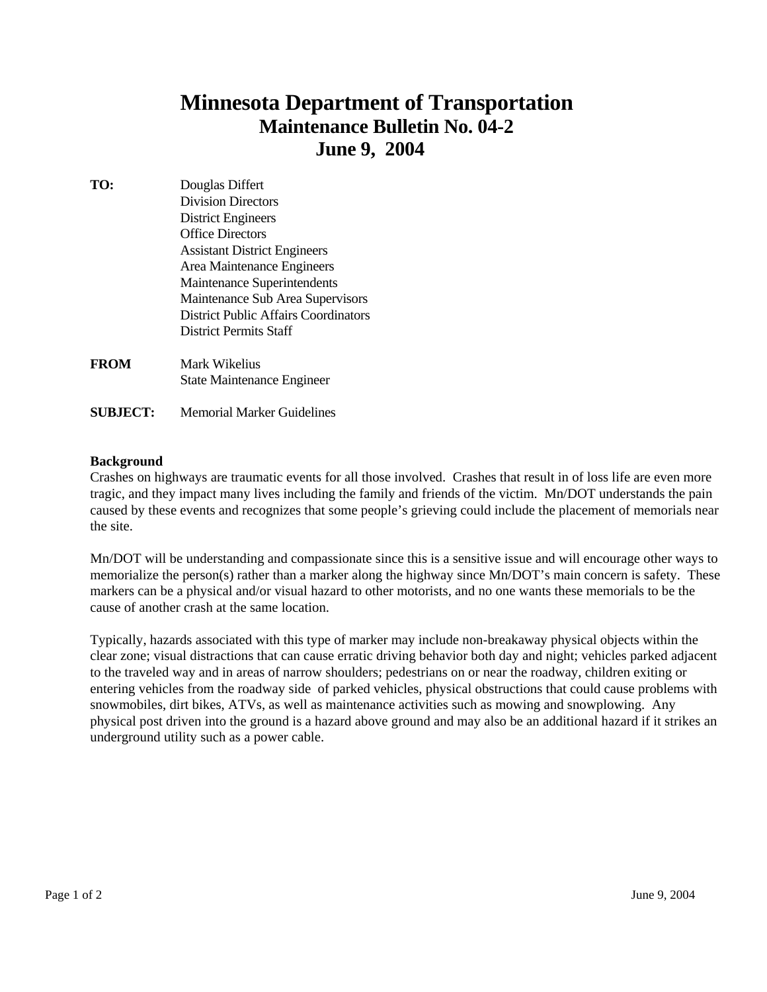# **Minnesota Department of Transportation Maintenance Bulletin No. 04-2 June 9, 2004**

- **TO:** Douglas Differt Division Directors District Engineers Office Directors Assistant District Engineers Area Maintenance Engineers Maintenance Superintendents Maintenance Sub Area Supervisors District Public Affairs CoordinatorsDistrict Permits Staff **FROM** Mark Wikelius State Maintenance Engineer
- **SUBJECT:** Memorial Marker Guidelines

## **Background**

Crashes on highways are traumatic events for all those involved. Crashes that result in of loss life are even more tragic, and they impact many lives including the family and friends of the victim. Mn/DOT understands the pain caused by these events and recognizes that some people's grieving could include the placement of memorials near the site.

Mn/DOT will be understanding and compassionate since this is a sensitive issue and will encourage other ways to memorialize the person(s) rather than a marker along the highway since Mn/DOT's main concern is safety. These markers can be a physical and/or visual hazard to other motorists, and no one wants these memorials to be the cause of another crash at the same location.

Typically, hazards associated with this type of marker may include non-breakaway physical objects within the clear zone; visual distractions that can cause erratic driving behavior both day and night; vehicles parked adjacent to the traveled way and in areas of narrow shoulders; pedestrians on or near the roadway, children exiting or entering vehicles from the roadway side of parked vehicles, physical obstructions that could cause problems with snowmobiles, dirt bikes, ATVs, as well as maintenance activities such as mowing and snowplowing. Any physical post driven into the ground is a hazard above ground and may also be an additional hazard if it strikes an underground utility such as a power cable.